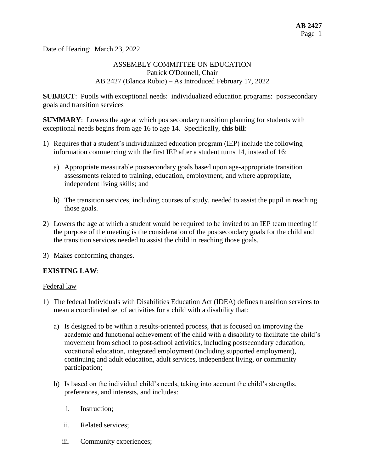Date of Hearing: March 23, 2022

# ASSEMBLY COMMITTEE ON EDUCATION Patrick O'Donnell, Chair AB 2427 (Blanca Rubio) – As Introduced February 17, 2022

**SUBJECT**: Pupils with exceptional needs: individualized education programs: postsecondary goals and transition services

**SUMMARY**: Lowers the age at which postsecondary transition planning for students with exceptional needs begins from age 16 to age 14. Specifically, **this bill**:

- 1) Requires that a student's individualized education program (IEP) include the following information commencing with the first IEP after a student turns 14, instead of 16:
	- a) Appropriate measurable postsecondary goals based upon age-appropriate transition assessments related to training, education, employment, and where appropriate, independent living skills; and
	- b) The transition services, including courses of study, needed to assist the pupil in reaching those goals.
- 2) Lowers the age at which a student would be required to be invited to an IEP team meeting if the purpose of the meeting is the consideration of the postsecondary goals for the child and the transition services needed to assist the child in reaching those goals.
- 3) Makes conforming changes.

# **EXISTING LAW**:

#### Federal law

- 1) The federal Individuals with Disabilities Education Act (IDEA) defines transition services to mean a coordinated set of activities for a child with a disability that:
	- a) Is designed to be within a results-oriented process, that is focused on improving the academic and functional achievement of the child with a disability to facilitate the child's movement from school to post-school activities, including postsecondary education, vocational education, integrated employment (including supported employment), continuing and adult education, adult services, independent living, or community participation;
	- b) Is based on the individual child's needs, taking into account the child's strengths, preferences, and interests, and includes:
		- i. Instruction;
		- ii. Related services;
		- iii. Community experiences;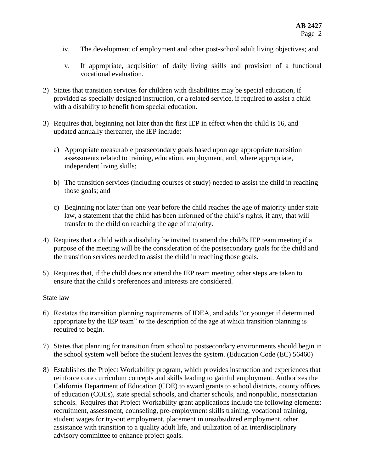- iv. The development of employment and other post-school adult living objectives; and
- v. If appropriate, acquisition of daily living skills and provision of a functional vocational evaluation.
- 2) States that transition services for children with disabilities may be special education, if provided as specially designed instruction, or a related service, if required to assist a child with a disability to benefit from special education.
- 3) Requires that, beginning not later than the first IEP in effect when the child is 16, and updated annually thereafter, the IEP include:
	- a) Appropriate measurable postsecondary goals based upon age appropriate transition assessments related to training, education, employment, and, where appropriate, independent living skills;
	- b) The transition services (including courses of study) needed to assist the child in reaching those goals; and
	- c) Beginning not later than one year before the child reaches the age of majority under state law, a statement that the child has been informed of the child's rights, if any, that will transfer to the child on reaching the age of majority.
- 4) Requires that a child with a disability be invited to attend the child's IEP team meeting if a purpose of the meeting will be the consideration of the postsecondary goals for the child and the transition services needed to assist the child in reaching those goals.
- 5) Requires that, if the child does not attend the IEP team meeting other steps are taken to ensure that the child's preferences and interests are considered.

#### State law

- 6) Restates the transition planning requirements of IDEA, and adds "or younger if determined appropriate by the IEP team" to the description of the age at which transition planning is required to begin.
- 7) States that planning for transition from school to postsecondary environments should begin in the school system well before the student leaves the system. (Education Code (EC) 56460)
- 8) Establishes the Project Workability program, which provides instruction and experiences that reinforce core curriculum concepts and skills leading to gainful employment. Authorizes the California Department of Education (CDE) to award grants to school districts, county offices of education (COEs), state special schools, and charter schools, and nonpublic, nonsectarian schools. Requires that Project Workability grant applications include the following elements: recruitment, assessment, counseling, pre-employment skills training, vocational training, student wages for try-out employment, placement in unsubsidized employment, other assistance with transition to a quality adult life, and utilization of an interdisciplinary advisory committee to enhance project goals.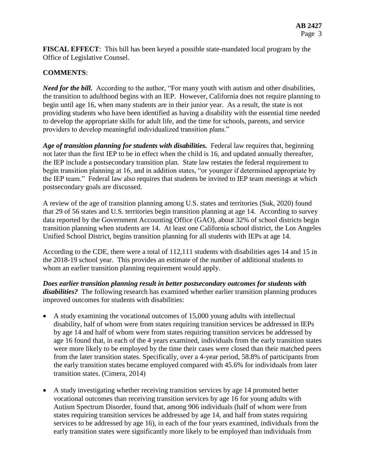**FISCAL EFFECT**: This bill has been keyed a possible state-mandated local program by the Office of Legislative Counsel.

# **COMMENTS**:

*Need for the bill.* According to the author, "For many youth with autism and other disabilities, the transition to adulthood begins with an IEP. However, California does not require planning to begin until age 16, when many students are in their junior year. As a result, the state is not providing students who have been identified as having a disability with the essential time needed to develop the appropriate skills for adult life, and the time for schools, parents, and service providers to develop meaningful individualized transition plans."

*Age of transition planning for students with disabilities.* Federal law requires that, beginning not later than the first IEP to be in effect when the child is 16, and updated annually thereafter, the IEP include a postsecondary transition plan. State law restates the federal requirement to begin transition planning at 16, and in addition states, "or younger if determined appropriate by the IEP team." Federal law also requires that students be invited to IEP team meetings at which postsecondary goals are discussed.

A review of the age of transition planning among U.S. states and territories (Suk, 2020) found that 29 of 56 states and U.S. territories begin transition planning at age 14. According to survey data reported by the Government Accounting Office (GAO), about 32% of school districts begin transition planning when students are 14. At least one California school district, the Los Angeles Unified School District, begins transition planning for all students with IEPs at age 14.

According to the CDE, there were a total of 112,111 students with disabilities ages 14 and 15 in the 2018-19 school year. This provides an estimate of the number of additional students to whom an earlier transition planning requirement would apply.

*Does earlier transition planning result in better postsecondary outcomes for students with disabilities?* The following research has examined whether earlier transition planning produces improved outcomes for students with disabilities:

- A study examining the vocational outcomes of 15,000 young adults with intellectual disability, half of whom were from states requiring transition services be addressed in IEPs by age 14 and half of whom were from states requiring transition services be addressed by age 16 found that, in each of the 4 years examined, individuals from the early transition states were more likely to be employed by the time their cases were closed than their matched peers from the later transition states. Specifically, over a 4-year period, 58.8% of participants from the early transition states became employed compared with 45.6% for individuals from later transition states. (Cimera, 2014)
- A study investigating whether receiving transition services by age 14 promoted better vocational outcomes than receiving transition services by age 16 for young adults with Autism Spectrum Disorder, found that, among 906 individuals (half of whom were from states requiring transition services be addressed by age 14, and half from states requiring services to be addressed by age 16), in each of the four years examined, individuals from the early transition states were significantly more likely to be employed than individuals from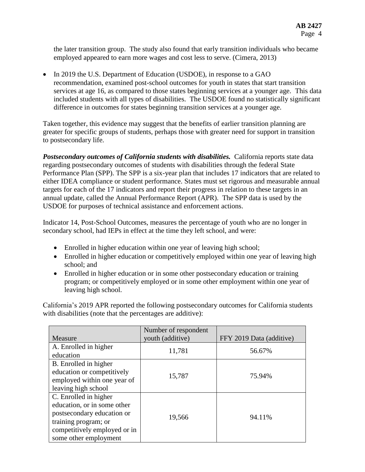the later transition group. The study also found that early transition individuals who became employed appeared to earn more wages and cost less to serve. (Cimera, 2013)

• In 2019 the U.S. Department of Education (USDOE), in response to a GAO recommendation, examined post-school outcomes for youth in states that start transition services at age 16, as compared to those states beginning services at a younger age. This data included students with all types of disabilities. The USDOE found no statistically significant difference in outcomes for states beginning transition services at a younger age.

Taken together, this evidence may suggest that the benefits of earlier transition planning are greater for specific groups of students, perhaps those with greater need for support in transition to postsecondary life.

*Postsecondary outcomes of California students with disabilities.* California reports state data regarding postsecondary outcomes of students with disabilities through the federal State Performance Plan (SPP). The SPP is a six-year plan that includes 17 indicators that are related to either IDEA compliance or student performance. States must set rigorous and measurable annual targets for each of the 17 indicators and report their progress in relation to these targets in an annual update, called the Annual Performance Report (APR). The SPP data is used by the USDOE for purposes of technical assistance and enforcement actions.

Indicator 14, Post-School Outcomes, measures the percentage of youth who are no longer in secondary school, had IEPs in effect at the time they left school, and were:

- Enrolled in higher education within one year of leaving high school;
- Enrolled in higher education or competitively employed within one year of leaving high school; and
- Enrolled in higher education or in some other postsecondary education or training program; or competitively employed or in some other employment within one year of leaving high school.

California's 2019 APR reported the following postsecondary outcomes for California students with disabilities (note that the percentages are additive):

| Measure                                                                                                                                                             | Number of respondent<br>youth (additive) | FFY 2019 Data (additive) |
|---------------------------------------------------------------------------------------------------------------------------------------------------------------------|------------------------------------------|--------------------------|
| A. Enrolled in higher<br>education                                                                                                                                  | 11,781                                   | 56.67%                   |
| B. Enrolled in higher<br>education or competitively<br>employed within one year of<br>leaving high school                                                           | 15,787                                   | 75.94%                   |
| C. Enrolled in higher<br>education, or in some other<br>postsecondary education or<br>training program; or<br>competitively employed or in<br>some other employment | 19,566                                   | 94.11%                   |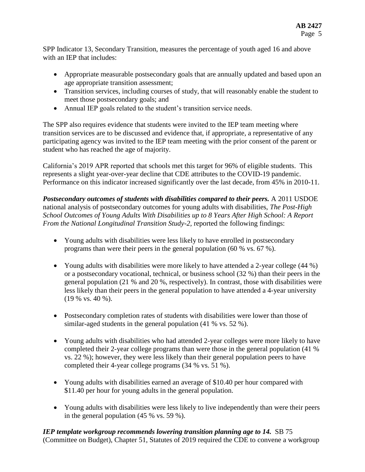SPP Indicator 13, Secondary Transition, measures the percentage of youth aged 16 and above with an IEP that includes:

- Appropriate measurable postsecondary goals that are annually updated and based upon an age appropriate transition assessment;
- Transition services, including courses of study, that will reasonably enable the student to meet those postsecondary goals; and
- Annual IEP goals related to the student's transition service needs.

The SPP also requires evidence that students were invited to the IEP team meeting where transition services are to be discussed and evidence that, if appropriate, a representative of any participating agency was invited to the IEP team meeting with the prior consent of the parent or student who has reached the age of majority.

California's 2019 APR reported that schools met this target for 96% of eligible students. This represents a slight year-over-year decline that CDE attributes to the COVID-19 pandemic. Performance on this indicator increased significantly over the last decade, from 45% in 2010-11.

*Postsecondary outcomes of students with disabilities compared to their peers.* A 2011 USDOE national analysis of postsecondary outcomes for young adults with disabilities, *The Post-High School Outcomes of Young Adults With Disabilities up to 8 Years After High School: A Report From the National Longitudinal Transition Study-2, reported the following findings:* 

- Young adults with disabilities were less likely to have enrolled in postsecondary programs than were their peers in the general population (60 % vs. 67 %).
- Young adults with disabilities were more likely to have attended a 2-year college (44 %) or a postsecondary vocational, technical, or business school (32 %) than their peers in the general population (21 % and 20 %, respectively). In contrast, those with disabilities were less likely than their peers in the general population to have attended a 4-year university (19 % vs. 40 %).
- Postsecondary completion rates of students with disabilities were lower than those of similar-aged students in the general population (41 % vs. 52 %).
- Young adults with disabilities who had attended 2-year colleges were more likely to have completed their 2-year college programs than were those in the general population (41 % vs. 22 %); however, they were less likely than their general population peers to have completed their 4-year college programs (34 % vs. 51 %).
- Young adults with disabilities earned an average of \$10.40 per hour compared with \$11.40 per hour for young adults in the general population.
- Young adults with disabilities were less likely to live independently than were their peers in the general population (45 % vs. 59 %).

*IEP template workgroup recommends lowering transition planning age to 14.* SB 75 (Committee on Budget), Chapter 51, Statutes of 2019 required the CDE to convene a workgroup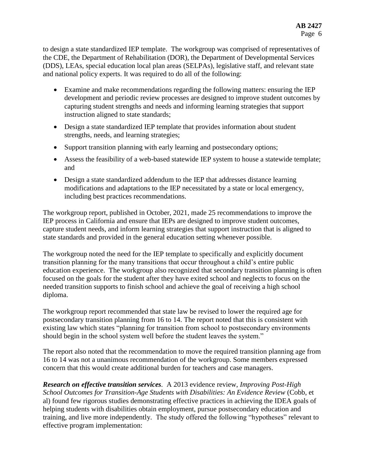to design a state standardized IEP template. The workgroup was comprised of representatives of the CDE, the Department of Rehabilitation (DOR), the Department of Developmental Services (DDS), LEAs, special education local plan areas (SELPAs), legislative staff, and relevant state and national policy experts. It was required to do all of the following:

- Examine and make recommendations regarding the following matters: ensuring the IEP development and periodic review processes are designed to improve student outcomes by capturing student strengths and needs and informing learning strategies that support instruction aligned to state standards;
- Design a state standardized IEP template that provides information about student strengths, needs, and learning strategies;
- Support transition planning with early learning and postsecondary options;
- Assess the feasibility of a web-based statewide IEP system to house a statewide template; and
- Design a state standardized addendum to the IEP that addresses distance learning modifications and adaptations to the IEP necessitated by a state or local emergency, including best practices recommendations.

The workgroup report, published in October, 2021, made 25 recommendations to improve the IEP process in California and ensure that IEPs are designed to improve student outcomes, capture student needs, and inform learning strategies that support instruction that is aligned to state standards and provided in the general education setting whenever possible.

The workgroup noted the need for the IEP template to specifically and explicitly document transition planning for the many transitions that occur throughout a child's entire public education experience. The workgroup also recognized that secondary transition planning is often focused on the goals for the student after they have exited school and neglects to focus on the needed transition supports to finish school and achieve the goal of receiving a high school diploma.

The workgroup report recommended that state law be revised to lower the required age for postsecondary transition planning from 16 to 14. The report noted that this is consistent with existing law which states "planning for transition from school to postsecondary environments should begin in the school system well before the student leaves the system."

The report also noted that the recommendation to move the required transition planning age from 16 to 14 was not a unanimous recommendation of the workgroup. Some members expressed concern that this would create additional burden for teachers and case managers.

*Research on effective transition services.* A 2013 evidence review, *Improving Post-High School Outcomes for Transition-Age Students with Disabilities: An Evidence Review* (Cobb, et al) found few rigorous studies demonstrating effective practices in achieving the IDEA goals of helping students with disabilities obtain employment, pursue postsecondary education and training, and live more independently. The study offered the following "hypotheses" relevant to effective program implementation: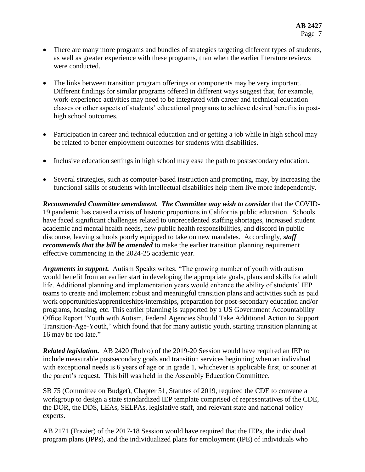- There are many more programs and bundles of strategies targeting different types of students, as well as greater experience with these programs, than when the earlier literature reviews were conducted.
- The links between transition program offerings or components may be very important. Different findings for similar programs offered in different ways suggest that, for example, work-experience activities may need to be integrated with career and technical education classes or other aspects of students' educational programs to achieve desired benefits in posthigh school outcomes.
- Participation in career and technical education and or getting a job while in high school may be related to better employment outcomes for students with disabilities.
- Inclusive education settings in high school may ease the path to postsecondary education.
- Several strategies, such as computer-based instruction and prompting, may, by increasing the functional skills of students with intellectual disabilities help them live more independently.

*Recommended Committee amendment. The Committee may wish to consider* that the COVID-19 pandemic has caused a crisis of historic proportions in California public education. Schools have faced significant challenges related to unprecedented staffing shortages, increased student academic and mental health needs, new public health responsibilities, and discord in public discourse, leaving schools poorly equipped to take on new mandates. Accordingly, *staff recommends that the bill be amended* to make the earlier transition planning requirement effective commencing in the 2024-25 academic year.

*Arguments in support.* Autism Speaks writes, "The growing number of youth with autism would benefit from an earlier start in developing the appropriate goals, plans and skills for adult life. Additional planning and implementation years would enhance the ability of students' IEP teams to create and implement robust and meaningful transition plans and activities such as paid work opportunities/apprenticeships/internships, preparation for post-secondary education and/or programs, housing, etc. This earlier planning is supported by a US Government Accountability Office Report 'Youth with Autism, Federal Agencies Should Take Additional Action to Support Transition-Age-Youth,' which found that for many autistic youth, starting transition planning at 16 may be too late."

*Related legislation.* AB 2420 (Rubio) of the 2019-20 Session would have required an IEP to include measurable postsecondary goals and transition services beginning when an individual with exceptional needs is 6 years of age or in grade 1, whichever is applicable first, or sooner at the parent's request. This bill was held in the Assembly Education Committee.

SB 75 (Committee on Budget), Chapter 51, Statutes of 2019, required the CDE to convene a workgroup to design a state standardized IEP template comprised of representatives of the CDE, the DOR, the DDS, LEAs, SELPAs, legislative staff, and relevant state and national policy experts.

AB 2171 (Frazier) of the 2017-18 Session would have required that the IEPs, the individual program plans (IPPs), and the individualized plans for employment (IPE) of individuals who